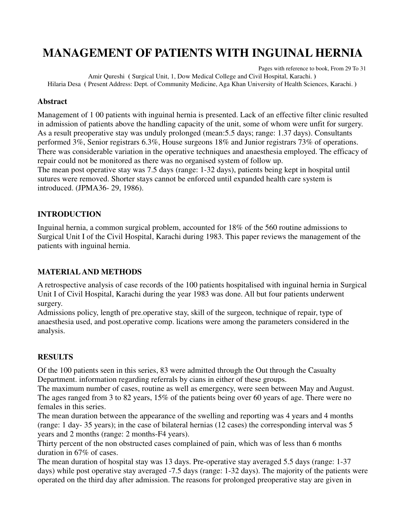### **MANAGEMENT OF PATIENTS WITH INGUINAL HERNIA**

Pages with reference to book, From 29 To 31 Amir Qureshi **(** Surgical Unit, 1, Dow Medical College and Civil Hospital, Karachi. **)**  Hilaria Desa **(** Present Address: Dept. of Community Medicine, Aga Khan University of Health Sciences, Karachi. **)** 

#### **Abstract**

Management of 1 00 patients with inguinal hernia is presented. Lack of an effective filter clinic resulted in admission of patients above the handling capacity of the unit, some of whom were unfit for surgery. As a result preoperative stay was unduly prolonged (mean:5.5 days; range: 1.37 days). Consultants performed 3%, Senior registrars 6.3%, House surgeons 18% and Junior registrars 73% of operations. There was considerable variation in the operative techniques and anaesthesia employed. The efficacy of repair could not be monitored as there was no organised system of follow up. The mean post operative stay was 7.5 days (range: 1-32 days), patients being kept in hospital until sutures were removed. Shorter stays cannot be enforced until expanded health care system is introduced. (JPMA36- 29, 1986).

### **INTRODUCTION**

Inguinal hernia, a common surgical problem, accounted for 18% of the 560 routine admissions to Surgical Unit I of the Civil Hospital, Karachi during 1983. This paper reviews the management of the patients with inguinal hernia.

### **MATERIAL AND METHODS**

A retrospective analysis of case records of the 100 patients hospitalised with inguinal hernia in Surgical Unit I of Civil Hospital, Karachi during the year 1983 was done. All but four patients underwent surgery.

Admissions policy, length of pre.operative stay, skill of the surgeon, technique of repair, type of anaesthesia used, and post.operative comp. lications were among the parameters considered in the analysis.

### **RESULTS**

Of the 100 patients seen in this series, 83 were admitted through the Out through the Casualty Department. information regarding referrals by cians in either of these groups.

The maximum number of cases, routine as well as emergency, were seen between May and August. The ages ranged from 3 to 82 years, 15% of the patients being over 60 years of age. There were no females in this series.

The mean duration between the appearance of the swelling and reporting was 4 years and 4 months (range: 1 day- 35 years); in the case of bilateral hernias (12 cases) the corresponding interval was 5 years and 2 months (range: 2 months-F4 years).

Thirty percent of the non obstructed cases complained of pain, which was of less than 6 months duration in 67% of cases.

The mean duration of hospital stay was 13 days. Pre-operative stay averaged 5.5 days (range: 1-37 days) while post operative stay averaged -7.5 days (range: 1-32 days). The majority of the patients were operated on the third day after admission. The reasons for prolonged preoperative stay are given in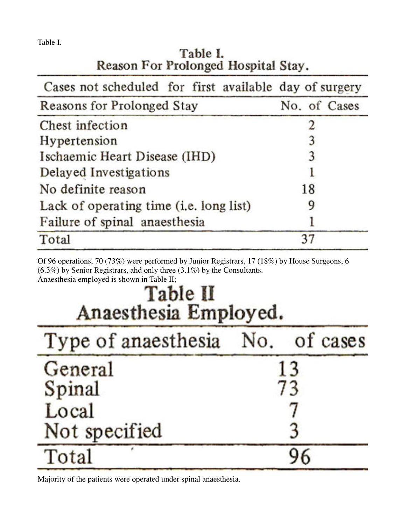Table I.

Total

| rapie <i>i</i> .<br>Reason For Prolonged Hospital Stay. |              |  |  |
|---------------------------------------------------------|--------------|--|--|
| Cases not scheduled for first available day of surgery  |              |  |  |
| Reasons for Prolonged Stay                              | No. of Cases |  |  |
| Chest infection                                         | 2            |  |  |
| Hypertension                                            | 3            |  |  |
| Ischaemic Heart Disease (IHD)                           | 3            |  |  |
| Delayed Investigations                                  | l            |  |  |
| No definite reason                                      | 18           |  |  |

9

1

37

# $T_{\rm A}$   $L_{\rm A}$   $I_{\rm A}$   $I_{\rm B}$

Of 96 operations, 70 (73%) were performed by Junior Registrars, 17 (18%) by House Surgeons, 6 (6.3%) by Senior Registrars, ahd only three (3.1%) by the Consultants. Anaesthesia employed is shown in Table II;

## Table II Anaesthesia Employed.

Lack of operating time (i.e. long list)

Failure of spinal anaesthesia

| Type of anaesthesia No. of cases |    |    |
|----------------------------------|----|----|
| General                          |    | 13 |
| Spinal                           | 73 |    |
| Local                            |    |    |
| Not specified                    |    |    |
| Total                            | 96 |    |

Majority of the patients were operated under spinal anaesthesia.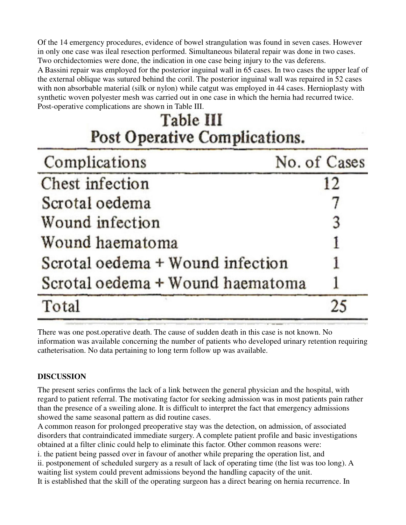Of the 14 emergency procedures, evidence of bowel strangulation was found in seven cases. However in only one case was ileal resection performed. Simultaneous bilateral repair was done in two cases. Two orchidectomies were done, the indication in one case being injury to the vas deferens. A Bassini repair was employed for the posterior inguinal wall in 65 cases. In two cases the upper leaf of the external oblique was sutured behind the coril. The posterior inguinal wall was repaired in 52 cases with non absorbable material (silk or nylon) while catgut was employed in 44 cases. Hernioplasty with synthetic woven polyester mesh was carried out in one case in which the hernia had recurred twice. Post-operative complications are shown in Table III.

## Table III Post Operative Complications.

| Complications                    | No. of Cases |
|----------------------------------|--------------|
| Chest infection                  | 12           |
| Scrotal oedema                   |              |
| Wound infection                  | 3            |
| Wound haematoma                  |              |
| Scrotal oedema + Wound infection |              |
| Scrotal oedema + Wound haematoma |              |
| Total                            | 25           |

There was one post.operative death. The cause of sudden death in this case is not known. No information was available concerning the number of patients who developed urinary retention requiring catheterisation. No data pertaining to long term follow up was available.

### **DISCUSSION**

The present series confirms the lack of a link between the general physician and the hospital, with regard to patient referral. The motivating factor for seeking admission was in most patients pain rather than the presence of a sweiling alone. It is difficult to interpret the fact that emergency admissions showed the same seasonal pattern as did routine cases.

A common reason for prolonged preoperative stay was the detection, on admission, of associated disorders that contraindicated immediate surgery. A complete patient profile and basic investigations obtained at a filter clinic could help to eliminate this factor. Other common reasons were:

i. the patient being passed over in favour of another while preparing the operation list, and

ii. postponement of scheduled surgery as a result of lack of operating time (the list was too long). A waiting list system could prevent admissions beyond the handling capacity of the unit.

It is established that the skill of the operating surgeon has a direct bearing on hernia recurrence. In